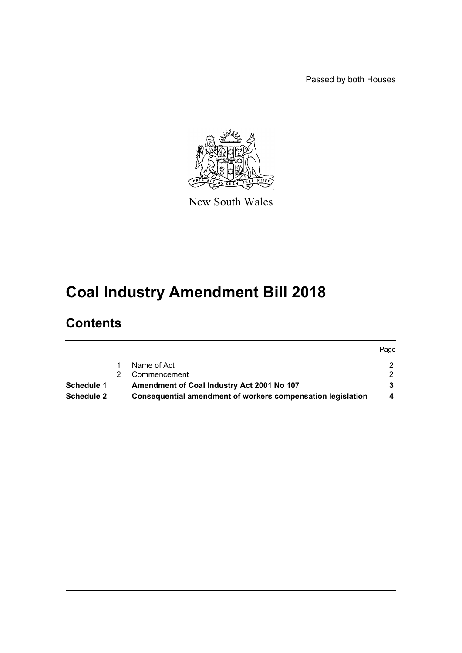Passed by both Houses



New South Wales

# **Coal Industry Amendment Bill 2018**

# **Contents**

|                   |                                                             | Page |
|-------------------|-------------------------------------------------------------|------|
|                   | Name of Act                                                 | 2.   |
|                   | Commencement                                                | - 2  |
| Schedule 1        | Amendment of Coal Industry Act 2001 No 107                  |      |
| <b>Schedule 2</b> | Consequential amendment of workers compensation legislation | 4    |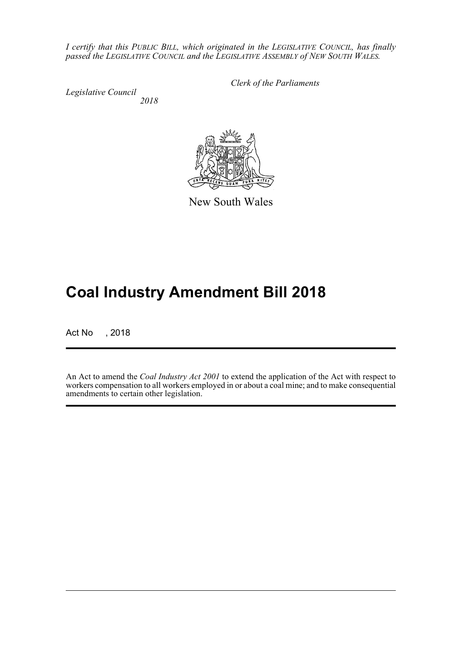*I certify that this PUBLIC BILL, which originated in the LEGISLATIVE COUNCIL, has finally passed the LEGISLATIVE COUNCIL and the LEGISLATIVE ASSEMBLY of NEW SOUTH WALES.*

*Legislative Council 2018* *Clerk of the Parliaments*

New South Wales

# **Coal Industry Amendment Bill 2018**

Act No , 2018

An Act to amend the *Coal Industry Act 2001* to extend the application of the Act with respect to workers compensation to all workers employed in or about a coal mine; and to make consequential amendments to certain other legislation.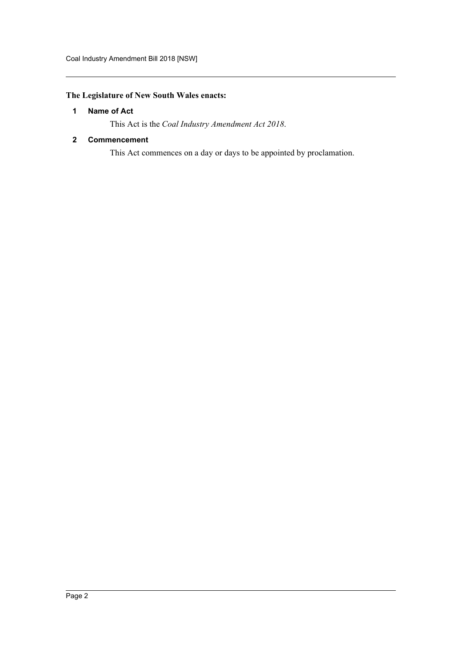### <span id="page-2-0"></span>**The Legislature of New South Wales enacts:**

#### **1 Name of Act**

This Act is the *Coal Industry Amendment Act 2018*.

#### <span id="page-2-1"></span>**2 Commencement**

This Act commences on a day or days to be appointed by proclamation.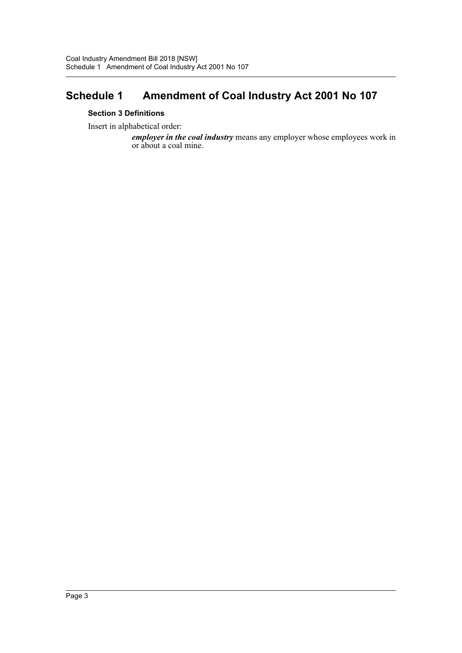## <span id="page-3-0"></span>**Schedule 1 Amendment of Coal Industry Act 2001 No 107**

#### **Section 3 Definitions**

Insert in alphabetical order:

*employer in the coal industry* means any employer whose employees work in or about a coal mine.